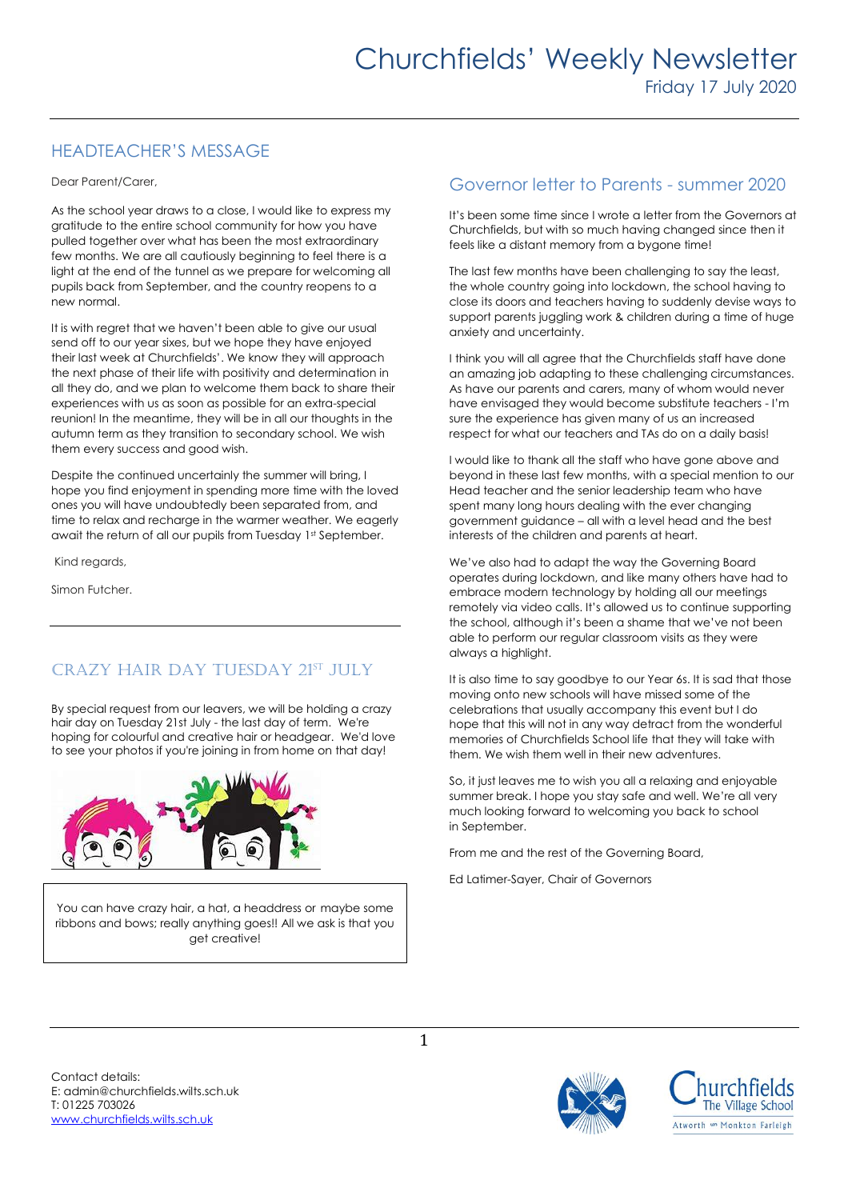# HEADTEACHER'S MESSAGE

Dear Parent/Carer,

As the school year draws to a close, I would like to express my gratitude to the entire school community for how you have pulled together over what has been the most extraordinary few months. We are all cautiously beginning to feel there is a light at the end of the tunnel as we prepare for welcoming all pupils back from September, and the country reopens to a new normal.

It is with regret that we haven't been able to give our usual send off to our year sixes, but we hope they have enjoyed their last week at Churchfields'. We know they will approach the next phase of their life with positivity and determination in all they do, and we plan to welcome them back to share their experiences with us as soon as possible for an extra-special reunion! In the meantime, they will be in all our thoughts in the autumn term as they transition to secondary school. We wish them every success and good wish.

Despite the continued uncertainly the summer will bring, I hope you find enjoyment in spending more time with the loved ones you will have undoubtedly been separated from, and time to relax and recharge in the warmer weather. We eagerly await the return of all our pupils from Tuesday 1st September.

Kind regards,

Simon Futcher.

# CRAZY HAIR DAY TUESDAY 21ST JULY

By special request from our leavers, we will be holding a crazy hair day on Tuesday 21st July - the last day of term. We're hoping for colourful and creative hair or headgear. We'd love to see your photos if you're joining in from home on that day!



You can have crazy hair, a hat, a headdress or maybe some ribbons and bows; really anything goes!! All we ask is that you get creative!

## Governor letter to Parents - summer 2020

It's been some time since I wrote a letter from the Governors at Churchfields, but with so much having changed since then it feels like a distant memory from a bygone time!

The last few months have been challenging to say the least, the whole country going into lockdown, the school having to close its doors and teachers having to suddenly devise ways to support parents juggling work & children during a time of huge anxiety and uncertainty.

I think you will all agree that the Churchfields staff have done an amazing job adapting to these challenging circumstances. As have our parents and carers, many of whom would never have envisaged they would become substitute teachers - I'm sure the experience has given many of us an increased respect for what our teachers and TAs do on a daily basis!

I would like to thank all the staff who have gone above and beyond in these last few months, with a special mention to our Head teacher and the senior leadership team who have spent many long hours dealing with the ever changing government guidance – all with a level head and the best interests of the children and parents at heart.

We've also had to adapt the way the Governing Board operates during lockdown, and like many others have had to embrace modern technology by holding all our meetings remotely via video calls. It's allowed us to continue supporting the school, although it's been a shame that we've not been able to perform our regular classroom visits as they were always a highlight.

It is also time to say goodbye to our Year 6s. It is sad that those moving onto new schools will have missed some of the celebrations that usually accompany this event but I do hope that this will not in any way detract from the wonderful memories of Churchfields School life that they will take with them. We wish them well in their new adventures.

So, it just leaves me to wish you all a relaxing and enjoyable summer break. I hope you stay safe and well. We're all very much looking forward to welcoming you back to school in September.

From me and the rest of the Governing Board,

Ed Latimer-Sayer, Chair of Governors

Contact details: E: admin@churchfields.wilts.sch.uk T: 01225 703026 [www.churchfields.wilts.sch.uk](http://www.churchfields.wilts.sch.uk/) 

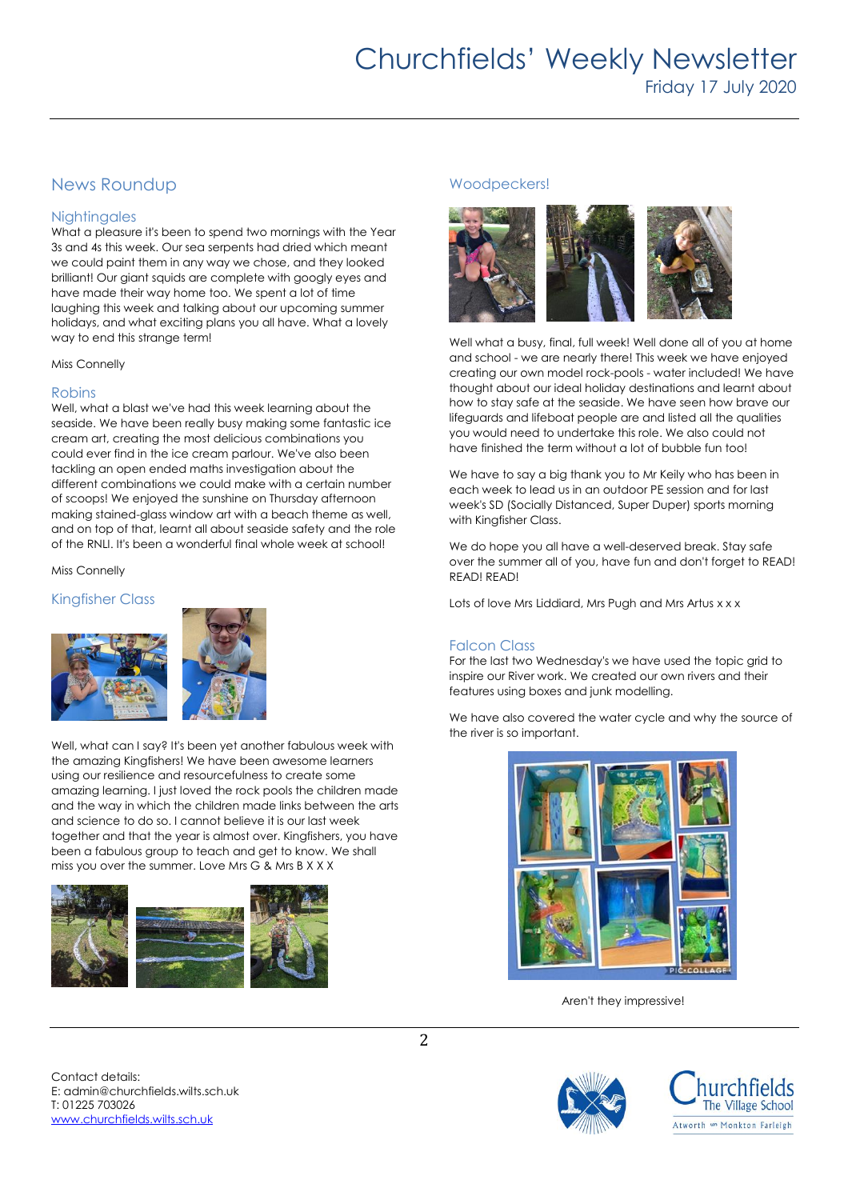# Churchfields' Weekly Newsletter Friday 17 July 2020

## News Roundup

## **Nightingales**

What a pleasure it's been to spend two mornings with the Year 3s and 4s this week. Our sea serpents had dried which meant we could paint them in any way we chose, and they looked brilliant! Our giant squids are complete with googly eyes and have made their way home too. We spent a lot of time laughing this week and talking about our upcoming summer holidays, and what exciting plans you all have. What a lovely way to end this strange term!

Miss Connelly

### Robins

Well, what a blast we've had this week learning about the seaside. We have been really busy making some fantastic ice cream art, creating the most delicious combinations you could ever find in the ice cream parlour. We've also been tackling an open ended maths investigation about the different combinations we could make with a certain number of scoops! We enjoyed the sunshine on Thursday afternoon making stained-glass window art with a beach theme as well, and on top of that, learnt all about seaside safety and the role of the RNLI. It's been a wonderful final whole week at school!

Miss Connelly

### Kingfisher Class





Well, what can I say? It's been yet another fabulous week with the amazing Kingfishers! We have been awesome learners using our resilience and resourcefulness to create some amazing learning. I just loved the rock pools the children made and the way in which the children made links between the arts and science to do so. I cannot believe it is our last week together and that the year is almost over. Kingfishers, you have been a fabulous group to teach and get to know. We shall miss you over the summer. Love Mrs G & Mrs B X X X



### Woodpeckers!



Well what a busy, final, full week! Well done all of you at home and school - we are nearly there! This week we have enjoyed creating our own model rock-pools - water included! We have thought about our ideal holiday destinations and learnt about how to stay safe at the seaside. We have seen how brave our lifeguards and lifeboat people are and listed all the qualities you would need to undertake this role. We also could not have finished the term without a lot of bubble fun too!

We have to say a big thank you to Mr Keily who has been in each week to lead us in an outdoor PE session and for last week's SD (Socially Distanced, Super Duper) sports morning with Kingfisher Class.

We do hope you all have a well-deserved break. Stay safe over the summer all of you, have fun and don't forget to READ! READ! READ!

Lots of love Mrs Liddiard, Mrs Pugh and Mrs Artus x x x

## Falcon Class

For the last two Wednesday's we have used the topic grid to inspire our River work. We created our own rivers and their features using boxes and junk modelling.

We have also covered the water cycle and why the source of the river is so important.



Aren't they impressive!



Contact details: E: admin@churchfields.wilts.sch.uk T: 01225 703026 [www.churchfields.wilts.sch.uk](http://www.churchfields.wilts.sch.uk/)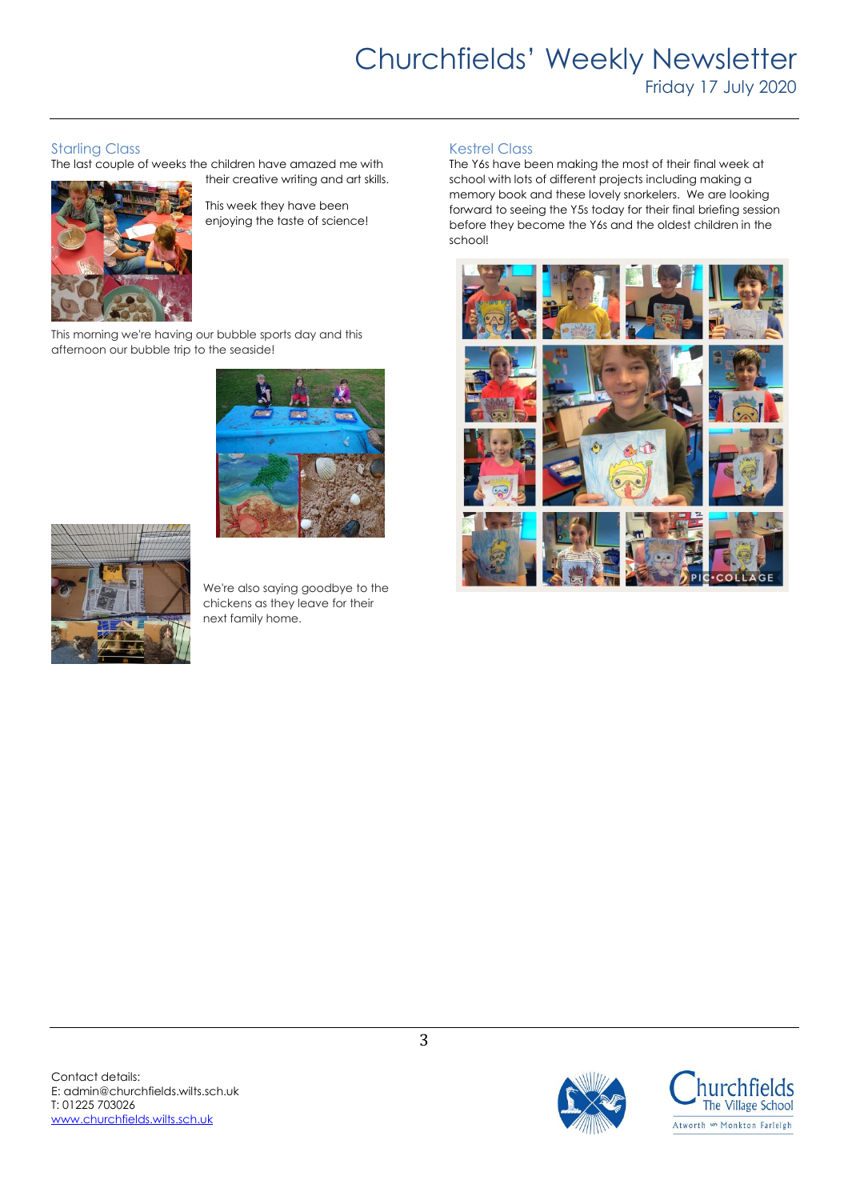# Churchfields' Weekly Newsletter Friday 17 July 2020

## Starling Class

The last couple of weeks the children have amazed me with



their creative writing and art skills. This week they have been

enjoying the taste of science!

This morning we're having our bubble sports day and this afternoon our bubble trip to the seaside!





We're also saying goodbye to the chickens as they leave for their next family home.

### Kestrel Class

The Y6s have been making the most of their final week at school with lots of different projects including making a memory book and these lovely snorkelers. We are looking forward to seeing the Y5s today for their final briefing session before they become the Y6s and the oldest children in the school!